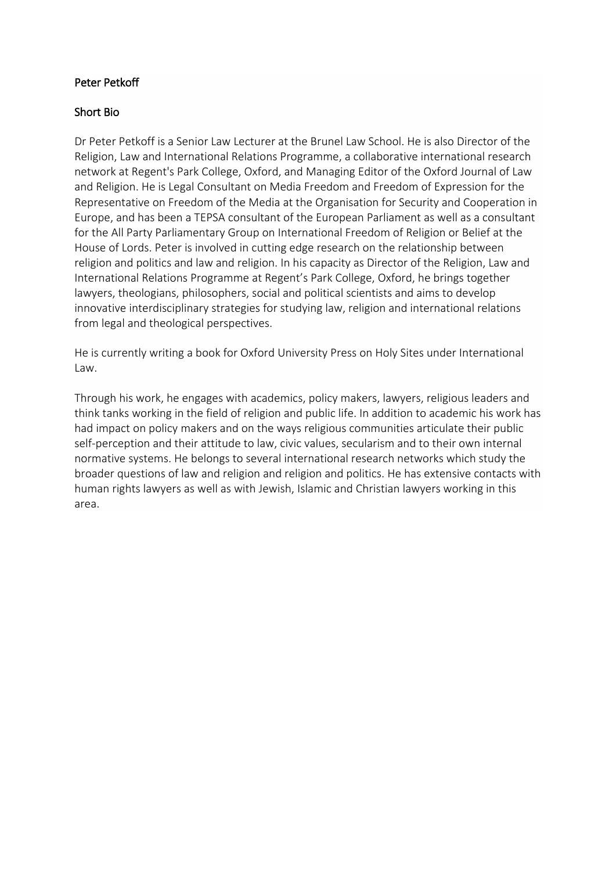### Peter Petkoff

### Short Bio

Dr Peter Petkoff is a Senior Law Lecturer at the Brunel Law School. He is also Director of the Religion, Law and International Relations Programme, a collaborative international research network at Regent's Park College, Oxford, and Managing Editor of the Oxford Journal of Law and Religion. He is Legal Consultant on Media Freedom and Freedom of Expression for the Representative on Freedom of the Media at the Organisation for Security and Cooperation in Europe, and has been a TEPSA consultant of the European Parliament as well as a consultant for the All Party Parliamentary Group on International Freedom of Religion or Belief at the House of Lords. Peter is involved in cutting edge research on the relationship between religion and politics and law and religion. In his capacity as Director of the Religion, Law and International Relations Programme at Regent's Park College, Oxford, he brings together lawyers, theologians, philosophers, social and political scientists and aims to develop innovative interdisciplinary strategies for studying law, religion and international relations from legal and theological perspectives.

He is currently writing a book for Oxford University Press on Holy Sites under International Law.

Through his work, he engages with academics, policy makers, lawyers, religious leaders and think tanks working in the field of religion and public life. In addition to academic his work has had impact on policy makers and on the ways religious communities articulate their public self-perception and their attitude to law, civic values, secularism and to their own internal normative systems. He belongs to several international research networks which study the broader questions of law and religion and religion and politics. He has extensive contacts with human rights lawyers as well as with Jewish, Islamic and Christian lawyers working in this area.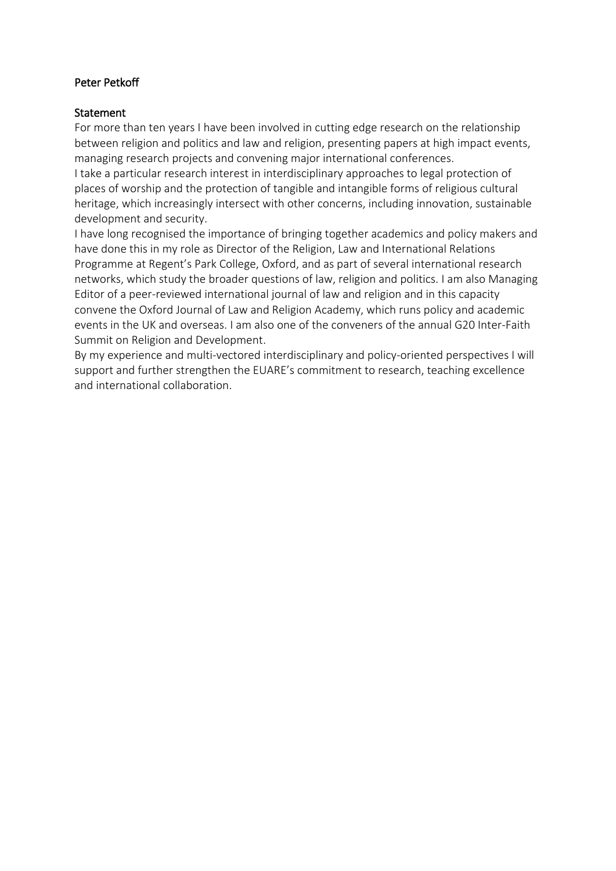## Peter Petkoff

#### **Statement**

For more than ten years I have been involved in cutting edge research on the relationship between religion and politics and law and religion, presenting papers at high impact events, managing research projects and convening major international conferences.

I take a particular research interest in interdisciplinary approaches to legal protection of places of worship and the protection of tangible and intangible forms of religious cultural heritage, which increasingly intersect with other concerns, including innovation, sustainable development and security.

I have long recognised the importance of bringing together academics and policy makers and have done this in my role as Director of the Religion, Law and International Relations Programme at Regent's Park College, Oxford, and as part of several international research networks, which study the broader questions of law, religion and politics. I am also Managing Editor of a peer-reviewed international journal of law and religion and in this capacity convene the Oxford Journal of Law and Religion Academy, which runs policy and academic events in the UK and overseas. I am also one of the conveners of the annual G20 Inter-Faith Summit on Religion and Development.

By my experience and multi-vectored interdisciplinary and policy-oriented perspectives I will support and further strengthen the EUARE's commitment to research, teaching excellence and international collaboration.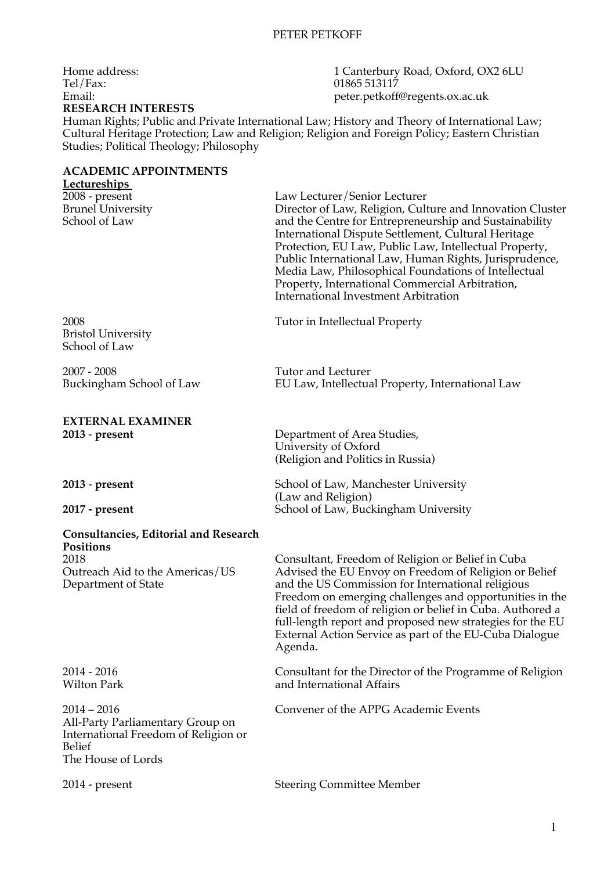Tel/Fax: 01865 513117<br>Email: 01865 913117 **RESEARCH INTERESTS**

Human Rights; Public and Private International Law; History and Theory of International Law; Cultural Heritage Protection; Law and Religion; Religion and Foreign Policy; Eastern Christian Studies; Political Theology; Philosophy

### **ACADEMIC APPOINTMENTS**

| <b>Lectureships</b>                                           |                                                                                                                                                                                                                                                                                                                                                                                                                                                                                          |
|---------------------------------------------------------------|------------------------------------------------------------------------------------------------------------------------------------------------------------------------------------------------------------------------------------------------------------------------------------------------------------------------------------------------------------------------------------------------------------------------------------------------------------------------------------------|
| $2008$ - present<br><b>Brunel University</b><br>School of Law | Law Lecturer/Senior Lecturer<br>Director of Law, Religion, Culture and Innovation Cluster<br>and the Centre for Entrepreneurship and Sustainability<br>International Dispute Settlement, Cultural Heritage<br>Protection, EU Law, Public Law, Intellectual Property,<br>Public International Law, Human Rights, Jurisprudence,<br>Media Law, Philosophical Foundations of Intellectual<br>Property, International Commercial Arbitration,<br><b>International Investment Arbitration</b> |
| 2008<br><b>Bristol University</b><br>School of Law            | Tutor in Intellectual Property                                                                                                                                                                                                                                                                                                                                                                                                                                                           |
| $2007 - 2008$<br>Buckingham School of Law                     | <b>Tutor and Lecturer</b><br>EU Law, Intellectual Property, International Law                                                                                                                                                                                                                                                                                                                                                                                                            |
| <b>EXTERNAL EXAMINER</b>                                      |                                                                                                                                                                                                                                                                                                                                                                                                                                                                                          |
| $2013$ - present                                              | Department of Area Studies,<br>University of Oxford<br>(Religion and Politics in Russia)                                                                                                                                                                                                                                                                                                                                                                                                 |
| 2013 - present<br>2017 - present                              | School of Law, Manchester University<br>(Law and Religion)<br>School of Law, Buckingham University                                                                                                                                                                                                                                                                                                                                                                                       |
|                                                               |                                                                                                                                                                                                                                                                                                                                                                                                                                                                                          |
| <b>Consultancies, Editorial and Research</b><br>Positions     |                                                                                                                                                                                                                                                                                                                                                                                                                                                                                          |
| 2018                                                          |                                                                                                                                                                                                                                                                                                                                                                                                                                                                                          |
| Outreach Aid to the Americas/US<br>Department of State        | Consultant, Freedom of Religion or Belief in Cuba<br>Advised the EU Envoy on Freedom of Religion or Belief<br>and the US Commission for International religious<br>Freedom on emerging challenges and opportunities in the<br>field of freedom of religion or belief in Cuba. Authored a<br>full-length report and proposed new strategies for the EU<br>External Action Service as part of the EU-Cuba Dialogue<br>Agenda.                                                              |
| $2014 - 2016$<br><b>Wilton Park</b>                           | Consultant for the Director of the Programme of Religion<br>and International Affairs                                                                                                                                                                                                                                                                                                                                                                                                    |

2014 - present Steering Committee Member

Home address: 1 Canterbury Road, Oxford, OX2 6LU Tel/Fax: 01865 513117 peter.petkoff@regents.ox.ac.uk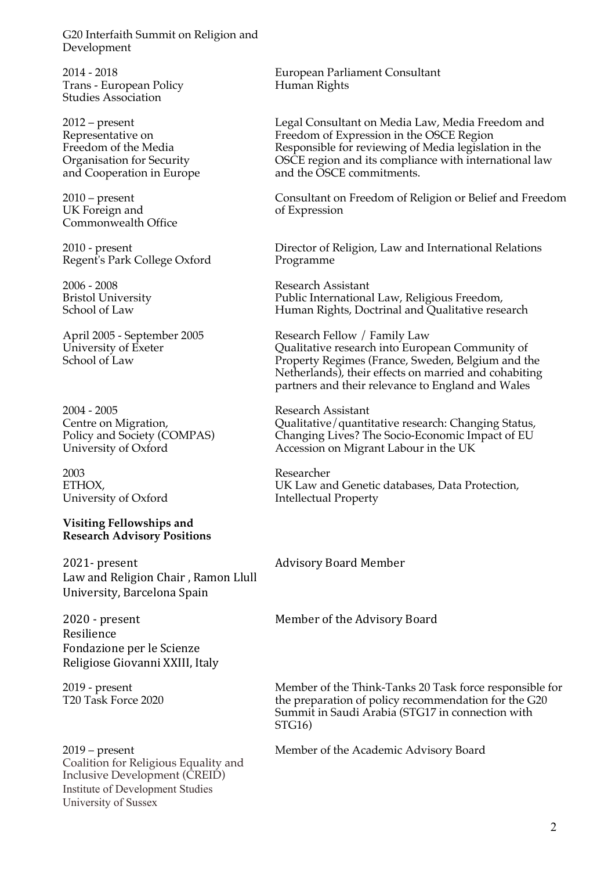G20 Interfaith Summit on Religion and Development

2014 - 2018 Trans - European Policy Studies Association

2012 – present Representative on Freedom of the Media Organisation for Security and Cooperation in Europe

2010 – present UK Foreign and Commonwealth Office

2010 - present Regent's Park College Oxford

2006 - 2008 Bristol University School of Law

April 2005 - September 2005 University of Exeter School of Law

2004 - 2005 Centre on Migration, Policy and Society (COMPAS) University of Oxford

2003 ETHOX, University of Oxford

#### **Visiting Fellowships and Research Advisory Positions**

2021- present Law and Religion Chair, Ramon Llull University, Barcelona Spain

2020 - present Resilience Fondazione per le Scienze Religiose Giovanni XXIII, Italy

2019 - present T20 Task Force 2020

2019 – present Coalition for Religious Equality and Inclusive Development (CREID) Institute of Development Studies University of Sussex

European Parliament Consultant Human Rights

Legal Consultant on Media Law, Media Freedom and Freedom of Expression in the OSCE Region Responsible for reviewing of Media legislation in the OSCE region and its compliance with international law and the OSCE commitments.

Consultant on Freedom of Religion or Belief and Freedom of Expression

Director of Religion, Law and International Relations Programme

Research Assistant Public International Law, Religious Freedom, Human Rights, Doctrinal and Qualitative research

Research Fellow / Family Law Qualitative research into European Community of Property Regimes (France, Sweden, Belgium and the Netherlands), their effects on married and cohabiting partners and their relevance to England and Wales

Research Assistant Qualitative/quantitative research: Changing Status, Changing Lives? The Socio-Economic Impact of EU Accession on Migrant Labour in the UK

Researcher UK Law and Genetic databases, Data Protection, Intellectual Property

#### Advisory Board Member

Member of the Advisory Board

Member of the Think-Tanks 20 Task force responsible for the preparation of policy recommendation for the G20 Summit in Saudi Arabia (STG17 in connection with STG16)

Member of the Academic Advisory Board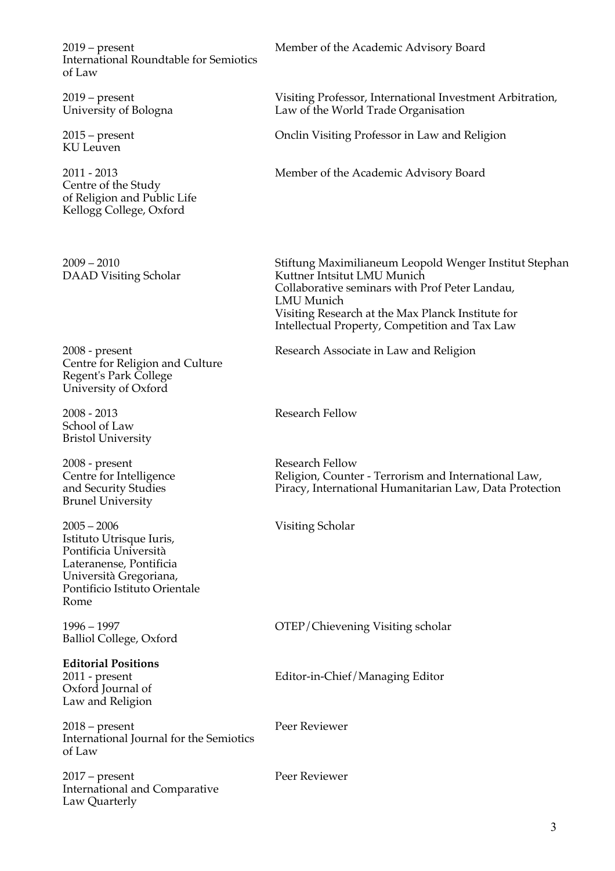2019 – present International Roundtable for Semiotics of Law

2019 – present University of Bologna

2015 – present KU Leuven

2011 - 2013 Centre of the Study of Religion and Public Life Kellogg College, Oxford

2009 – 2010 DAAD Visiting Scholar

2008 - present Centre for Religion and Culture Regent's Park College University of Oxford

2008 - 2013 School of Law Bristol University

2008 - present Centre for Intelligence and Security Studies Brunel University

2005 – 2006 Istituto Utrisque Iuris, Pontificia Università Lateranense, Pontificia Università Gregoriana, Pontificio Istituto Orientale Rome

1996 – 1997 Balliol College, Oxford

#### **Editorial Positions**

2011 - present Oxford Journal of Law and Religion

2018 – present International Journal for the Semiotics of Law

2017 – present International and Comparative Law Quarterly

Member of the Academic Advisory Board

Visiting Professor, International Investment Arbitration, Law of the World Trade Organisation

Onclin Visiting Professor in Law and Religion

Member of the Academic Advisory Board

Stiftung Maximilianeum Leopold Wenger Institut Stephan Kuttner Intsitut LMU Munich Collaborative seminars with Prof Peter Landau, LMU Munich Visiting Research at the Max Planck Institute for Intellectual Property, Competition and Tax Law

Research Associate in Law and Religion

Research Fellow

Research Fellow Religion, Counter - Terrorism and International Law, Piracy, International Humanitarian Law, Data Protection

Visiting Scholar

OTEP/Chievening Visiting scholar

Editor-in-Chief/Managing Editor

Peer Reviewer

Peer Reviewer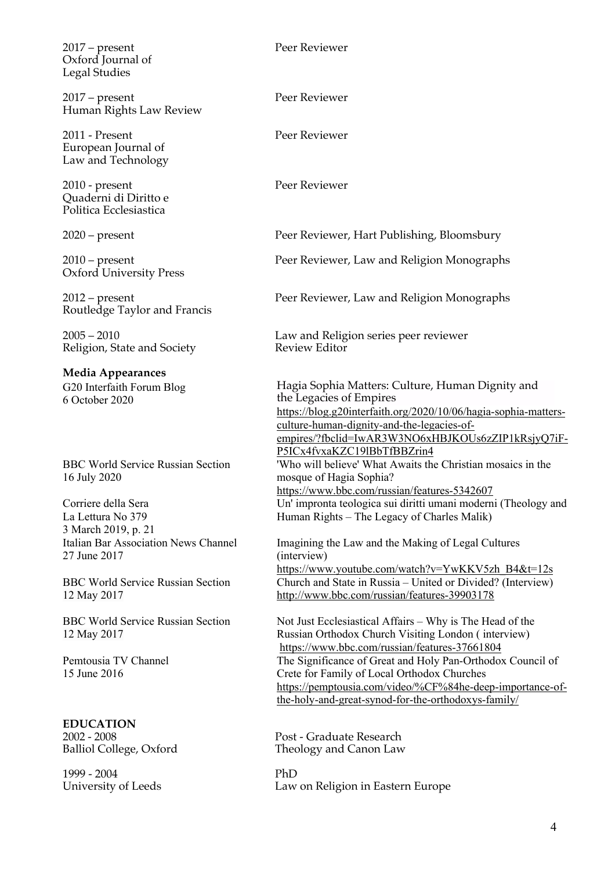2017 – present Oxford Journal of Legal Studies

2017 – present Human Rights Law Review

2011 - Present European Journal of Law and Technology

2010 - present Quaderni di Diritto e Politica Ecclesiastica

2010 – present Oxford University Press

2012 – present Routledge Taylor and Francis

 $2005 - 2010$ Religion, State and Society

**Media Appearances** G20 Interfaith Forum Blog 6 October 2020

BBC World Service Russian Section 16 July 2020

Corriere della Sera La Lettura No 379 3 March 2019, p. 21 Italian Bar Association News Channel 27 June 2017

BBC World Service Russian Section 12 May 2017

BBC World Service Russian Section 12 May 2017

Pemtousia TV Channel 15 June 2016

**EDUCATION** 2002 - 2008 Balliol College, Oxford

1999 - 2004 University of Leeds Peer Reviewer

Peer Reviewer

Peer Reviewer

Peer Reviewer

2020 – present Peer Reviewer, Hart Publishing, Bloomsbury

Peer Reviewer, Law and Religion Monographs

Peer Reviewer, Law and Religion Monographs

Law and Religion series peer reviewer Review Editor

Hagia Sophia Matters: Culture, Human Dignity and the Legacies of Empires https://blog.g20interfaith.org/2020/10/06/hagia-sophia-mattersculture-human-dignity-and-the-legacies-ofempires/?fbclid=IwAR3W3NO6xHBJKOUs6zZIP1kRsjyQ7iF-P5ICx4fvxaKZC19lBbTfBBZrin4 'Who will believe' What Awaits the Christian mosaics in the mosque of Hagia Sophia? https://www.bbc.com/russian/features-5342607 Un' impronta teologica sui diritti umani moderni (Theology and Human Rights – The Legacy of Charles Malik)

Imagining the Law and the Making of Legal Cultures (interview) https://www.youtube.com/watch?v=YwKKV5zh\_B4&t=12s Church and State in Russia – United or Divided? (Interview) http://www.bbc.com/russian/features-39903178

Not Just Ecclesiastical Affairs – Why is The Head of the Russian Orthodox Church Visiting London ( interview) https://www.bbc.com/russian/features-37661804 The Significance of Great and Holy Pan-Orthodox Council of Crete for Family of Local Orthodox Churches https://pemptousia.com/video/%CF%84he-deep-importance-ofthe-holy-and-great-synod-for-the-orthodoxys-family/

Post - Graduate Research Theology and Canon Law

PhD Law on Religion in Eastern Europe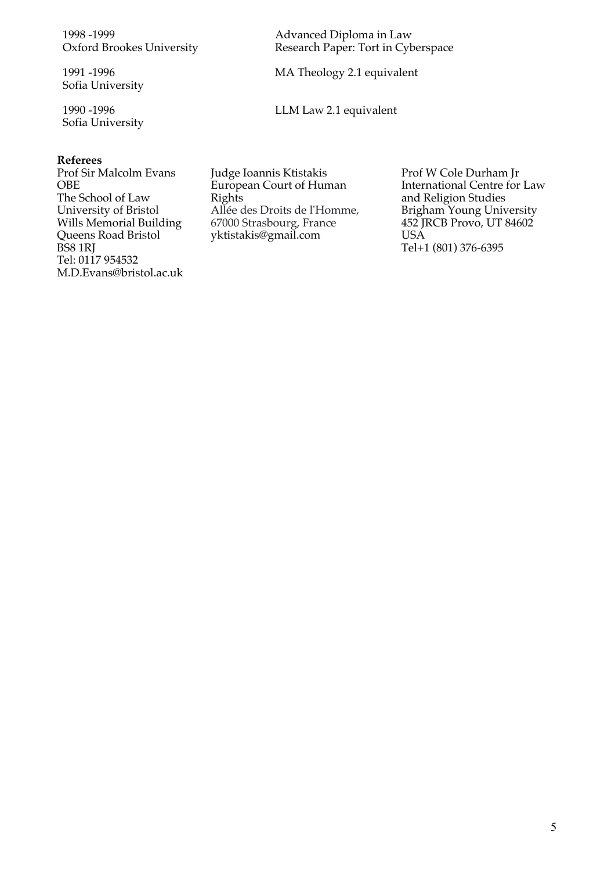1998 -1999 Oxford Brookes University

1991 -1996 Sofia University

1990 -1996 Sofia University

#### **Referees**

Prof Sir Malcolm Evans OBE The School of Law University of Bristol Wills Memorial Building Queens Road Bristol BS8 1RJ Tel: 0117 954532 M.D.Evans@bristol.ac.uk Advanced Diploma in Law Research Paper: Tort in Cyberspace

MA Theology 2.1 equivalent

LLM Law 2.1 equivalent

Judge Ioannis Ktistakis European Court of Human Rights Allée des Droits de l'Homme, 67000 Strasbourg, France yktistakis@gmail.com

Prof W Cole Durham Jr International Centre for Law and Religion Studies Brigham Young University 452 JRCB Provo, UT 84602 USA Tel+1 (801) 376-6395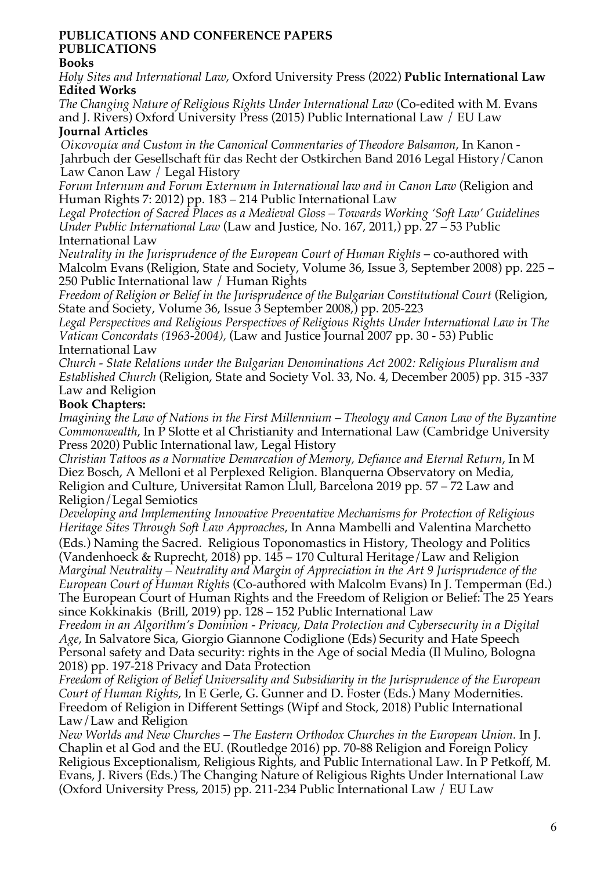### **PUBLICATIONS AND CONFERENCE PAPERS PUBLICATIONS**

## **Books**

*Holy Sites and International Law*, Oxford University Press (2022) **Public International Law Edited Works**

*The Changing Nature of Religious Rights Under International Law* (Co-edited with M. Evans and J. Rivers) Oxford University Press (2015) Public International Law / EU Law **Journal Articles**

*Οἰκονομία and Custom in the Canonical Commentaries of Theodore Balsamon*, In Kanon - Jahrbuch der Gesellschaft für das Recht der Ostkirchen Band 2016 Legal History/Canon Law Canon Law / Legal History

*Forum Internum and Forum Externum in International law and in Canon Law* (Religion and Human Rights 7: 2012) pp. 183 – 214 Public International Law

*Legal Protection of Sacred Places as a Medieval Gloss – Towards Working 'Soft Law' Guidelines Under Public International Law* (Law and Justice, No. 167, 2011,) pp. 27 – 53 Public International Law

*Neutrality in the Jurisprudence of the European Court of Human Rights – co-authored with* Malcolm Evans (Religion, State and Society, Volume 36, Issue 3, September 2008) pp. 225 – 250 Public International law / Human Rights

*Freedom of Religion or Belief in the Jurisprudence of the Bulgarian Constitutional Court* (Religion, State and Society, Volume 36, Issue 3 September 2008,) pp. 205-223

*Legal Perspectives and Religious Perspectives of Religious Rights Under International Law in The Vatican Concordats (1963-2004),* (Law and Justice Journal 2007 pp. 30 - 53) Public International Law

*Church - State Relations under the Bulgarian Denominations Act 2002: Religious Pluralism and Established Church* (Religion, State and Society Vol. 33, No. 4, December 2005) pp. 315 -337 Law and Religion

## **Book Chapters:**

*Imagining the Law of Nations in the First Millennium – Theology and Canon Law of the Byzantine Commonwealth*, In P Slotte et al Christianity and International Law (Cambridge University Press 2020) Public International law, Legal History

*Christian Tattoos as a Normative Demarcation of Memory, Defiance and Eternal Return*, In M Diez Bosch, A Melloni et al Perplexed Religion. Blanquerna Observatory on Media, Religion and Culture, Universitat Ramon Llull, Barcelona 2019 pp. 57 – 72 Law and Religion/Legal Semiotics

*Developing and Implementing Innovative Preventative Mechanisms for Protection of Religious Heritage Sites Through Soft Law Approaches*, In Anna Mambelli and Valentina Marchetto

(Eds.) Naming the Sacred. Religious Toponomastics in History, Theology and Politics (Vandenhoeck & Ruprecht, 2018) pp.  $14\overline{5} - 170$  Cultural Heritage/Law and Religion *Marginal Neutrality – Neutrality and Margin of Appreciation in the Art 9 Jurisprudence of the European Court of Human Rights* (Co-authored with Malcolm Evans) In J. Temperman (Ed.) The European Court of Human Rights and the Freedom of Religion or Belief: The 25 Years since Kokkinakis (Brill, 2019) pp. 128 – 152 Public International Law

*Freedom in an Algorithm's Dominion - Privacy, Data Protection and Cybersecurity in a Digital Age*, In Salvatore Sica, Giorgio Giannone Codiglione (Eds) Security and Hate Speech Personal safety and Data security: rights in the Age of social Media (Il Mulino, Bologna 2018) pp. 197-218 Privacy and Data Protection

*Freedom of Religion of Belief Universality and Subsidiarity in the Jurisprudence of the European Court of Human Rights*, In E Gerle, G. Gunner and D. Foster (Eds.) Many Modernities. Freedom of Religion in Different Settings (Wipf and Stock, 2018) Public International Law/Law and Religion

*New Worlds and New Churches – The Eastern Orthodox Churches in the European Union.* In J. Chaplin et al God and the EU. (Routledge 2016) pp. 70-88 Religion and Foreign Policy Religious Exceptionalism, Religious Rights, and Public International Law. In P Petkoff, M. Evans, J. Rivers (Eds.) The Changing Nature of Religious Rights Under International Law (Oxford University Press, 2015) pp. 211-234 Public International Law / EU Law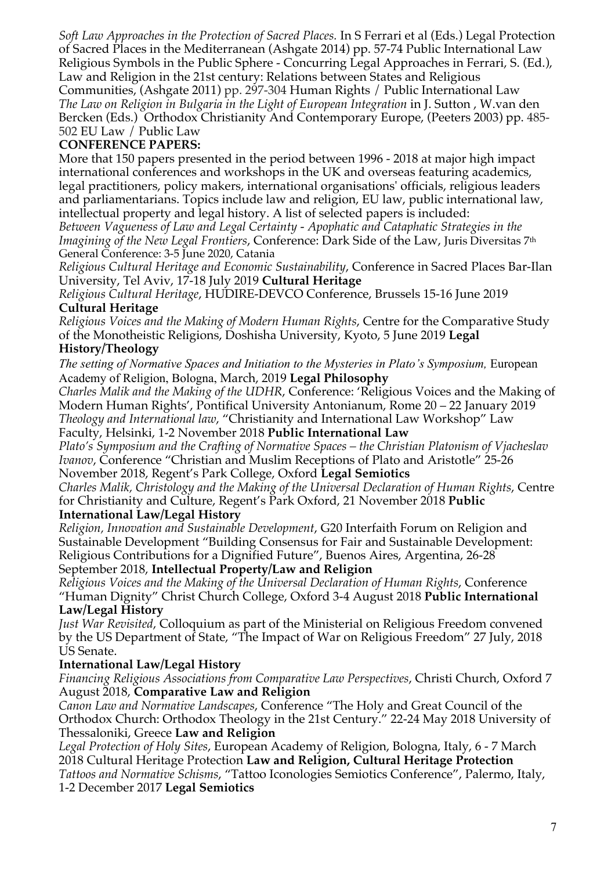*Soft Law Approaches in the Protection of Sacred Places.* In S Ferrari et al (Eds.) Legal Protection of Sacred Places in the Mediterranean (Ashgate 2014) pp. 57-74 Public International Law Religious Symbols in the Public Sphere - Concurring Legal Approaches in Ferrari, S. (Ed.), Law and Religion in the 21st century: Relations between States and Religious

Communities, (Ashgate 2011) pp. 297-304 Human Rights / Public International Law *The Law on Religion in Bulgaria in the Light of European Integration* in J. Sutton , W.van den Bercken (Eds.) Orthodox Christianity And Contemporary Europe, (Peeters 2003) pp. 485- 502 EU Law / Public Law

# **CONFERENCE PAPERS:**

More that 150 papers presented in the period between 1996 - 2018 at major high impact international conferences and workshops in the UK and overseas featuring academics, legal practitioners, policy makers, international organisations' officials, religious leaders and parliamentarians. Topics include law and religion, EU law, public international law, intellectual property and legal history. A list of selected papers is included:

*Between Vagueness of Law and Legal Certainty - Apophatic and Cataphatic Strategies in the Imagining of the New Legal Frontiers*, Conference: Dark Side of the Law, Juris Diversitas 7th General Conference: 3-5 June 2020, Catania

*Religious Cultural Heritage and Economic Sustainability*, Conference in Sacred Places Bar-Ilan University, Tel Aviv, 17-18 July 2019 **Cultural Heritage**

*Religious Cultural Heritage*, HUDIRE-DEVCO Conference, Brussels 15-16 June 2019 **Cultural Heritage**

*Religious Voices and the Making of Modern Human Rights*, Centre for the Comparative Study of the Monotheistic Religions, Doshisha University, Kyoto, 5 June 2019 **Legal** 

## **History/Theology**

The setting of Normative Spaces and Initiation to the Mysteries in Plato's Symposium, European Academy of Religion, Bologna, March, 2019 **Legal Philosophy**

*Charles Malik and the Making of the UDHR*, Conference: 'Religious Voices and the Making of Modern Human Rights', Pontifical University Antonianum, Rome 20 – 22 January 2019 *Theology and International law*, "Christianity and International Law Workshop" Law Faculty, Helsinki, 1-2 November 2018 **Public International Law**

*Plato's Symposium and the Crafting of Normative Spaces – the Christian Platonism of Vjacheslav Ivanov*, Conference "Christian and Muslim Receptions of Plato and Aristotle" 25-26

November 2018, Regent's Park College, Oxford **Legal Semiotics**

*Charles Malik, Christology and the Making of the Universal Declaration of Human Rights*, Centre for Christianity and Culture, Regent's Park Oxford, 21 November 2018 **Public** 

### **International Law/Legal History**

*Religion, Innovation and Sustainable Development*, G20 Interfaith Forum on Religion and Sustainable Development "Building Consensus for Fair and Sustainable Development: Religious Contributions for a Dignified Future", Buenos Aires, Argentina, 26-28 September 2018, **Intellectual Property/Law and Religion**

*Religious Voices and the Making of the Universal Declaration of Human Rights*, Conference "Human Dignity" Christ Church College, Oxford 3-4 August 2018 **Public International Law/Legal History**

*Just War Revisited*, Colloquium as part of the Ministerial on Religious Freedom convened by the US Department of State, "The Impact of War on Religious Freedom" 27 July, 2018 US Senate.

## **International Law/Legal History**

*Financing Religious Associations from Comparative Law Perspectives*, Christi Church, Oxford 7 August 2018, **Comparative Law and Religion**

*Canon Law and Normative Landscapes*, Conference "The Holy and Great Council of the Orthodox Church: Orthodox Theology in the 21st Century." 22-24 May 2018 University of Thessaloniki, Greece **Law and Religion**

*Legal Protection of Holy Sites*, European Academy of Religion, Bologna, Italy, 6 - 7 March 2018 Cultural Heritage Protection **Law and Religion, Cultural Heritage Protection** *Tattoos and Normative Schisms*, "Tattoo Iconologies Semiotics Conference", Palermo, Italy, 1-2 December 2017 **Legal Semiotics**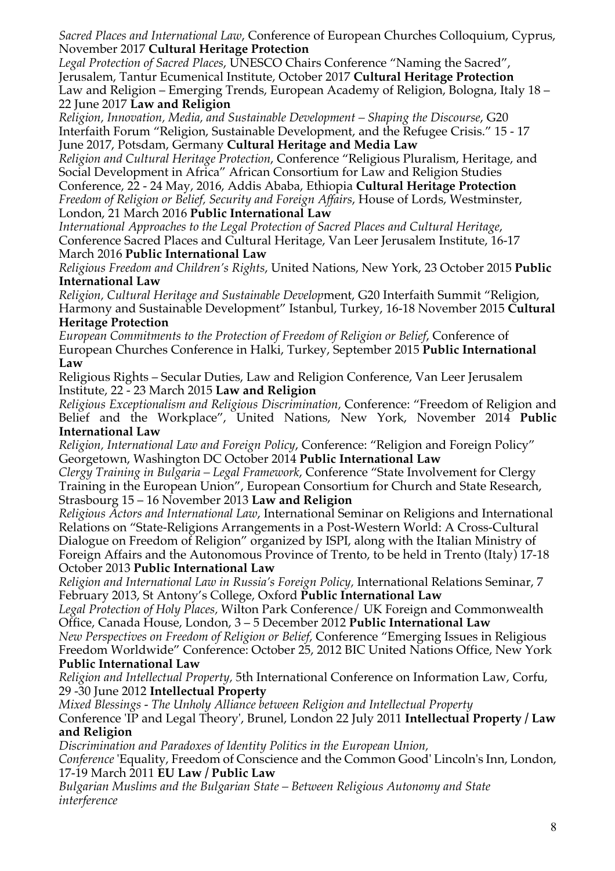*Sacred Places and International Law*, Conference of European Churches Colloquium, Cyprus, November 2017 **Cultural Heritage Protection**

*Legal Protection of Sacred Places*, UNESCO Chairs Conference "Naming the Sacred", Jerusalem, Tantur Ecumenical Institute, October 2017 **Cultural Heritage Protection** Law and Religion – Emerging Trends, European Academy of Religion, Bologna, Italy 18 – 22 June 2017 **Law and Religion**

*Religion, Innovation, Media, and Sustainable Development – Shaping the Discourse*, G20 Interfaith Forum "Religion, Sustainable Development, and the Refugee Crisis." 15 - 17 June 2017, Potsdam, Germany **Cultural Heritage and Media Law**

*Religion and Cultural Heritage Protection*, Conference "Religious Pluralism, Heritage, and Social Development in Africa" African Consortium for Law and Religion Studies Conference, 22 - 24 May, 2016, Addis Ababa, Ethiopia **Cultural Heritage Protection** *Freedom of Religion or Belief, Security and Foreign Affairs*, House of Lords, Westminster, London, 21 March 2016 **Public International Law**

*International Approaches to the Legal Protection of Sacred Places and Cultural Heritage*, Conference Sacred Places and Cultural Heritage, Van Leer Jerusalem Institute, 16-17 March 2016 **Public International Law**

*Religious Freedom and Children's Rights*, United Nations, New York, 23 October 2015 **Public International Law**

*Religion, Cultural Heritage and Sustainable Develop*ment, G20 Interfaith Summit "Religion, Harmony and Sustainable Development" Istanbul, Turkey, 16-18 November 2015 **Cultural Heritage Protection**

*European Commitments to the Protection of Freedom of Religion or Belief*, Conference of European Churches Conference in Halki, Turkey, September 2015 **Public International Law**

Religious Rights – Secular Duties, Law and Religion Conference, Van Leer Jerusalem Institute, 22 - 23 March 2015 **Law and Religion**

*Religious Exceptionalism and Religious Discrimination,* Conference: "Freedom of Religion and Belief and the Workplace", United Nations, New York, November 2014 **Public International Law**

*Religion, International Law and Foreign Policy*, Conference: "Religion and Foreign Policy" Georgetown, Washington DC October 2014 **Public International Law**

*Clergy Training in Bulgaria – Legal Framework*, Conference "State Involvement for Clergy Training in the European Union", European Consortium for Church and State Research, Strasbourg 15 – 16 November 2013 **Law and Religion**

*Religious Actors and International Law*, International Seminar on Religions and International Relations on "State-Religions Arrangements in a Post-Western World: A Cross-Cultural Dialogue on Freedom of Religion" organized by ISPI, along with the Italian Ministry of Foreign Affairs and the Autonomous Province of Trento, to be held in Trento (Italy) 17-18 October 2013 **Public International Law**

*Religion and International Law in Russia's Foreign Policy,* International Relations Seminar, 7 February 2013, St Antony's College, Oxford **Public International Law**

*Legal Protection of Holy Places,* Wilton Park Conference/ UK Foreign and Commonwealth Office, Canada House, London, 3 – 5 December 2012 **Public International Law** *New Perspectives on Freedom of Religion or Belief,* Conference "Emerging Issues in Religious

Freedom Worldwide" Conference: October 25, 2012 BIC United Nations Office, New York **Public International Law**

*Religion and Intellectual Property,* 5th International Conference on Information Law, Corfu, 29 -30 June 2012 **Intellectual Property**

*Mixed Blessings - The Unholy Alliance between Religion and Intellectual Property* 

Conference 'IP and Legal Theory', Brunel, London 22 July 2011 **Intellectual Property / Law and Religion**

*Discrimination and Paradoxes of Identity Politics in the European Union,*

*Conference* 'Equality, Freedom of Conscience and the Common Good' Lincoln's Inn, London, 17-19 March 2011 **EU Law / Public Law**

*Bulgarian Muslims and the Bulgarian State – Between Religious Autonomy and State interference*